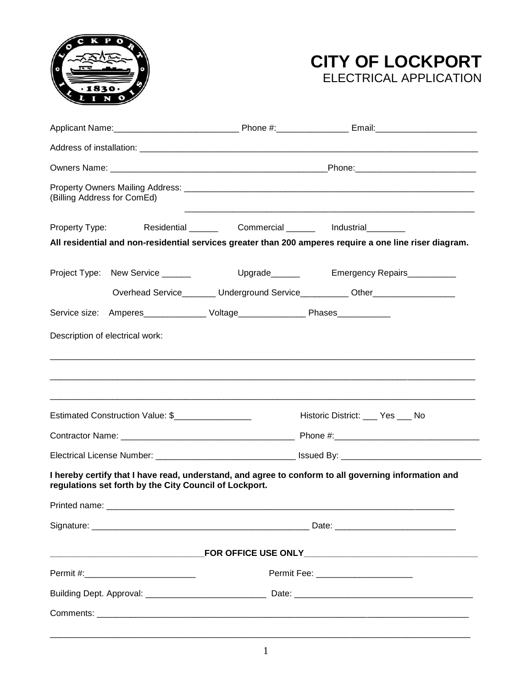



| (Billing Address for ComEd)      |                                                        |                                                                                   |                                                                                                         |  |
|----------------------------------|--------------------------------------------------------|-----------------------------------------------------------------------------------|---------------------------------------------------------------------------------------------------------|--|
| Property Type:                   |                                                        | Residential ________ Commercial ______ Industrial _______                         |                                                                                                         |  |
|                                  |                                                        |                                                                                   | All residential and non-residential services greater than 200 amperes require a one line riser diagram. |  |
|                                  | Project Type: New Service ______                       | Upgrade <sub>________</sub>                                                       | Emergency Repairs__________                                                                             |  |
|                                  |                                                        |                                                                                   | Overhead Service_________ Underground Service__________ Other___________________                        |  |
|                                  |                                                        | Service size: Amperes_________________ Voltage__________________ Phases__________ |                                                                                                         |  |
|                                  | Description of electrical work:                        |                                                                                   |                                                                                                         |  |
| Estimated Construction Value: \$ |                                                        | Historic District: ____ Yes ___ No                                                |                                                                                                         |  |
|                                  |                                                        |                                                                                   |                                                                                                         |  |
|                                  | regulations set forth by the City Council of Lockport. |                                                                                   | I hereby certify that I have read, understand, and agree to conform to all governing information and    |  |
| Printed name:                    |                                                        |                                                                                   |                                                                                                         |  |
|                                  |                                                        |                                                                                   |                                                                                                         |  |
|                                  |                                                        |                                                                                   |                                                                                                         |  |
|                                  |                                                        |                                                                                   |                                                                                                         |  |
|                                  |                                                        |                                                                                   |                                                                                                         |  |
|                                  |                                                        |                                                                                   |                                                                                                         |  |
|                                  |                                                        |                                                                                   |                                                                                                         |  |